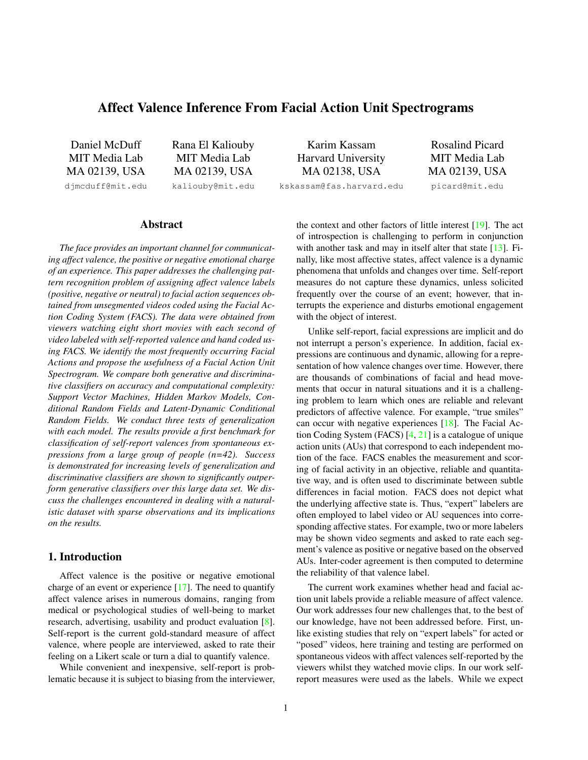# <span id="page-0-0"></span>Affect Valence Inference From Facial Action Unit Spectrograms

Daniel McDuff MIT Media Lab MA 02139, USA djmcduff@mit.edu Rana El Kaliouby MIT Media Lab MA 02139, USA kaliouby@mit.edu

Karim Kassam Harvard University MA 02138, USA kskassam@fas.harvard.edu

Rosalind Picard MIT Media Lab MA 02139, USA picard@mit.edu

### Abstract

*The face provides an important channel for communicating affect valence, the positive or negative emotional charge of an experience. This paper addresses the challenging pattern recognition problem of assigning affect valence labels (positive, negative or neutral) to facial action sequences obtained from unsegmented videos coded using the Facial Action Coding System (FACS). The data were obtained from viewers watching eight short movies with each second of video labeled with self-reported valence and hand coded using FACS. We identify the most frequently occurring Facial Actions and propose the usefulness of a Facial Action Unit Spectrogram. We compare both generative and discriminative classifiers on accuracy and computational complexity: Support Vector Machines, Hidden Markov Models, Conditional Random Fields and Latent-Dynamic Conditional Random Fields. We conduct three tests of generalization with each model. The results provide a first benchmark for classification of self-report valences from spontaneous expressions from a large group of people (n=42). Success is demonstrated for increasing levels of generalization and discriminative classifiers are shown to significantly outperform generative classifiers over this large data set. We discuss the challenges encountered in dealing with a naturalistic dataset with sparse observations and its implications on the results.*

### 1. Introduction

Affect valence is the positive or negative emotional charge of an event or experience [\[17\]](#page-7-0). The need to quantify affect valence arises in numerous domains, ranging from medical or psychological studies of well-being to market research, advertising, usability and product evaluation [\[8\]](#page-7-1). Self-report is the current gold-standard measure of affect valence, where people are interviewed, asked to rate their feeling on a Likert scale or turn a dial to quantify valence.

While convenient and inexpensive, self-report is problematic because it is subject to biasing from the interviewer, the context and other factors of little interest [\[19\]](#page-7-2). The act of introspection is challenging to perform in conjunction with another task and may in itself alter that state [\[13\]](#page-7-3). Finally, like most affective states, affect valence is a dynamic phenomena that unfolds and changes over time. Self-report measures do not capture these dynamics, unless solicited frequently over the course of an event; however, that interrupts the experience and disturbs emotional engagement with the object of interest.

Unlike self-report, facial expressions are implicit and do not interrupt a person's experience. In addition, facial expressions are continuous and dynamic, allowing for a representation of how valence changes over time. However, there are thousands of combinations of facial and head movements that occur in natural situations and it is a challenging problem to learn which ones are reliable and relevant predictors of affective valence. For example, "true smiles" can occur with negative experiences [\[18\]](#page-7-4). The Facial Action Coding System (FACS) [\[4,](#page-7-5) [21\]](#page-7-6) is a catalogue of unique action units (AUs) that correspond to each independent motion of the face. FACS enables the measurement and scoring of facial activity in an objective, reliable and quantitative way, and is often used to discriminate between subtle differences in facial motion. FACS does not depict what the underlying affective state is. Thus, "expert" labelers are often employed to label video or AU sequences into corresponding affective states. For example, two or more labelers may be shown video segments and asked to rate each segment's valence as positive or negative based on the observed AUs. Inter-coder agreement is then computed to determine the reliability of that valence label.

The current work examines whether head and facial action unit labels provide a reliable measure of affect valence. Our work addresses four new challenges that, to the best of our knowledge, have not been addressed before. First, unlike existing studies that rely on "expert labels" for acted or "posed" videos, here training and testing are performed on spontaneous videos with affect valences self-reported by the viewers whilst they watched movie clips. In our work selfreport measures were used as the labels. While we expect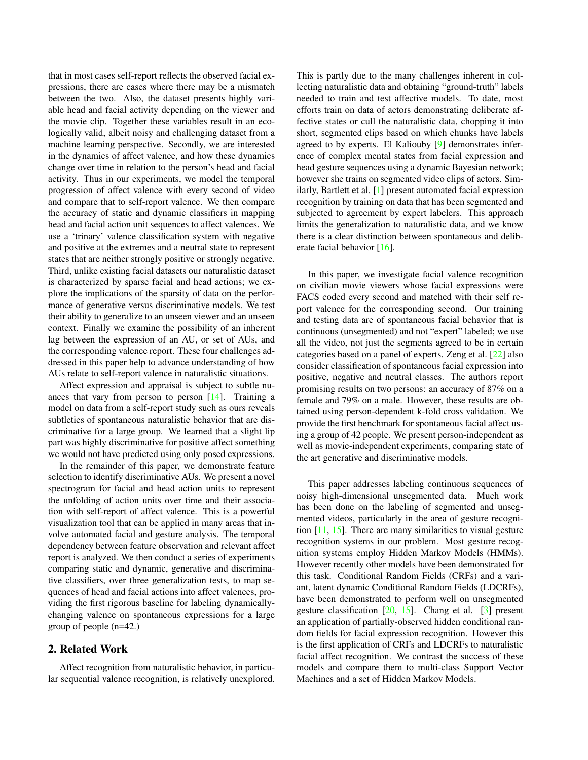<span id="page-1-0"></span>that in most cases self-report reflects the observed facial expressions, there are cases where there may be a mismatch between the two. Also, the dataset presents highly variable head and facial activity depending on the viewer and the movie clip. Together these variables result in an ecologically valid, albeit noisy and challenging dataset from a machine learning perspective. Secondly, we are interested in the dynamics of affect valence, and how these dynamics change over time in relation to the person's head and facial activity. Thus in our experiments, we model the temporal progression of affect valence with every second of video and compare that to self-report valence. We then compare the accuracy of static and dynamic classifiers in mapping head and facial action unit sequences to affect valences. We use a 'trinary' valence classification system with negative and positive at the extremes and a neutral state to represent states that are neither strongly positive or strongly negative. Third, unlike existing facial datasets our naturalistic dataset is characterized by sparse facial and head actions; we explore the implications of the sparsity of data on the performance of generative versus discriminative models. We test their ability to generalize to an unseen viewer and an unseen context. Finally we examine the possibility of an inherent lag between the expression of an AU, or set of AUs, and the corresponding valence report. These four challenges addressed in this paper help to advance understanding of how AUs relate to self-report valence in naturalistic situations.

Affect expression and appraisal is subject to subtle nuances that vary from person to person  $[14]$ . Training a model on data from a self-report study such as ours reveals subtleties of spontaneous naturalistic behavior that are discriminative for a large group. We learned that a slight lip part was highly discriminative for positive affect something we would not have predicted using only posed expressions.

In the remainder of this paper, we demonstrate feature selection to identify discriminative AUs. We present a novel spectrogram for facial and head action units to represent the unfolding of action units over time and their association with self-report of affect valence. This is a powerful visualization tool that can be applied in many areas that involve automated facial and gesture analysis. The temporal dependency between feature observation and relevant affect report is analyzed. We then conduct a series of experiments comparing static and dynamic, generative and discriminative classifiers, over three generalization tests, to map sequences of head and facial actions into affect valences, providing the first rigorous baseline for labeling dynamicallychanging valence on spontaneous expressions for a large group of people (n=42.)

## 2. Related Work

Affect recognition from naturalistic behavior, in particular sequential valence recognition, is relatively unexplored. This is partly due to the many challenges inherent in collecting naturalistic data and obtaining "ground-truth" labels needed to train and test affective models. To date, most efforts train on data of actors demonstrating deliberate affective states or cull the naturalistic data, chopping it into short, segmented clips based on which chunks have labels agreed to by experts. El Kaliouby [\[9\]](#page-7-8) demonstrates inference of complex mental states from facial expression and head gesture sequences using a dynamic Bayesian network; however she trains on segmented video clips of actors. Similarly, Bartlett et al. [\[1\]](#page-7-9) present automated facial expression recognition by training on data that has been segmented and subjected to agreement by expert labelers. This approach limits the generalization to naturalistic data, and we know there is a clear distinction between spontaneous and deliberate facial behavior [\[16\]](#page-7-10).

In this paper, we investigate facial valence recognition on civilian movie viewers whose facial expressions were FACS coded every second and matched with their self report valence for the corresponding second. Our training and testing data are of spontaneous facial behavior that is continuous (unsegmented) and not "expert" labeled; we use all the video, not just the segments agreed to be in certain categories based on a panel of experts. Zeng et al. [\[22\]](#page-7-11) also consider classification of spontaneous facial expression into positive, negative and neutral classes. The authors report promising results on two persons: an accuracy of 87% on a female and 79% on a male. However, these results are obtained using person-dependent k-fold cross validation. We provide the first benchmark for spontaneous facial affect using a group of 42 people. We present person-independent as well as movie-independent experiments, comparing state of the art generative and discriminative models.

This paper addresses labeling continuous sequences of noisy high-dimensional unsegmented data. Much work has been done on the labeling of segmented and unsegmented videos, particularly in the area of gesture recognition [\[11,](#page-7-12) [15\]](#page-7-13). There are many similarities to visual gesture recognition systems in our problem. Most gesture recognition systems employ Hidden Markov Models (HMMs). However recently other models have been demonstrated for this task. Conditional Random Fields (CRFs) and a variant, latent dynamic Conditional Random Fields (LDCRFs), have been demonstrated to perform well on unsegmented gesture classification [\[20,](#page-7-14) [15\]](#page-7-13). Chang et al. [\[3\]](#page-7-15) present an application of partially-observed hidden conditional random fields for facial expression recognition. However this is the first application of CRFs and LDCRFs to naturalistic facial affect recognition. We contrast the success of these models and compare them to multi-class Support Vector Machines and a set of Hidden Markov Models.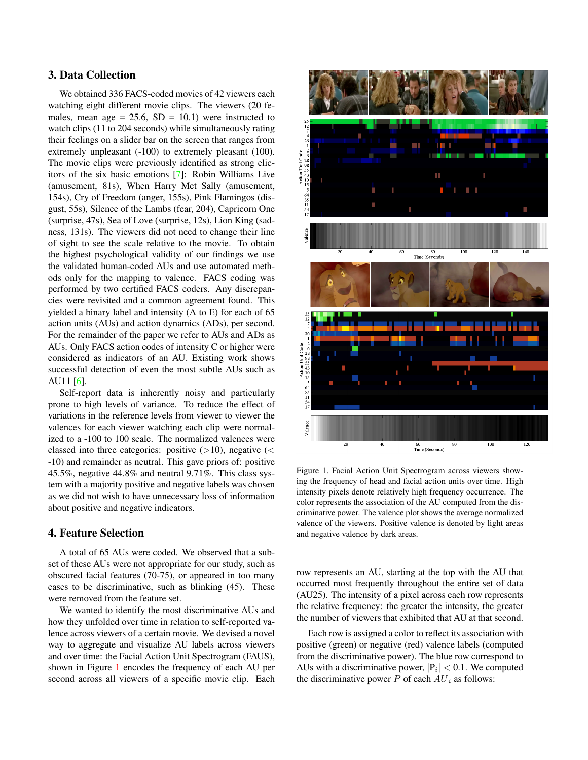## <span id="page-2-1"></span>3. Data Collection

We obtained 336 FACS-coded movies of 42 viewers each watching eight different movie clips. The viewers (20 females, mean age =  $25.6$ , SD = 10.1) were instructed to watch clips (11 to 204 seconds) while simultaneously rating their feelings on a slider bar on the screen that ranges from extremely unpleasant  $(-100)$  to extremely pleasant  $(100)$ . The movie clips were previously identified as strong elicitors of the six basic emotions [\[7\]](#page-7-16): Robin Williams Live (amusement, 81s), When Harry Met Sally (amusement, 154s), Cry of Freedom (anger, 155s), Pink Flamingos (disgust, 55s), Silence of the Lambs (fear, 204), Capricorn One (surprise, 47s), Sea of Love (surprise, 12s), Lion King (sadness, 131s). The viewers did not need to change their line of sight to see the scale relative to the movie. To obtain the highest psychological validity of our findings we use the validated human-coded AUs and use automated methods only for the mapping to valence. FACS coding was performed by two certified FACS coders. Any discrepancies were revisited and a common agreement found. This yielded a binary label and intensity (A to E) for each of 65 action units (AUs) and action dynamics (ADs), per second. For the remainder of the paper we refer to AUs and ADs as AUs. Only FACS action codes of intensity C or higher were considered as indicators of an AU. Existing work shows successful detection of even the most subtle AUs such as AU11 [\[6\]](#page-7-17).

Self-report data is inherently noisy and particularly prone to high levels of variance. To reduce the effect of variations in the reference levels from viewer to viewer the valences for each viewer watching each clip were normalized to a -100 to 100 scale. The normalized valences were classed into three categories: positive  $(>10)$ , negative  $(<$ -10) and remainder as neutral. This gave priors of: positive 45.5%, negative 44.8% and neutral 9.71%. This class system with a majority positive and negative labels was chosen as we did not wish to have unnecessary loss of information about positive and negative indicators.

## 4. Feature Selection

A total of 65 AUs were coded. We observed that a subset of these AUs were not appropriate for our study, such as obscured facial features (70-75), or appeared in too many cases to be discriminative, such as blinking (45). These were removed from the feature set.

We wanted to identify the most discriminative AUs and how they unfolded over time in relation to self-reported valence across viewers of a certain movie. We devised a novel way to aggregate and visualize AU labels across viewers and over time: the Facial Action Unit Spectrogram (FAUS), shown in Figure [1](#page-2-0) encodes the frequency of each AU per second across all viewers of a specific movie clip. Each



<span id="page-2-0"></span>Figure 1. Facial Action Unit Spectrogram across viewers showing the frequency of head and facial action units over time. High intensity pixels denote relatively high frequency occurrence. The color represents the association of the AU computed from the discriminative power. The valence plot shows the average normalized valence of the viewers. Positive valence is denoted by light areas and negative valence by dark areas.

row represents an AU, starting at the top with the AU that occurred most frequently throughout the entire set of data (AU25). The intensity of a pixel across each row represents the relative frequency: the greater the intensity, the greater the number of viewers that exhibited that AU at that second.

Each row is assigned a color to reflect its association with positive (green) or negative (red) valence labels (computed from the discriminative power). The blue row correspond to AUs with a discriminative power,  $|P_i| < 0.1$ . We computed the discriminative power  $P$  of each  $AU_i$  as follows: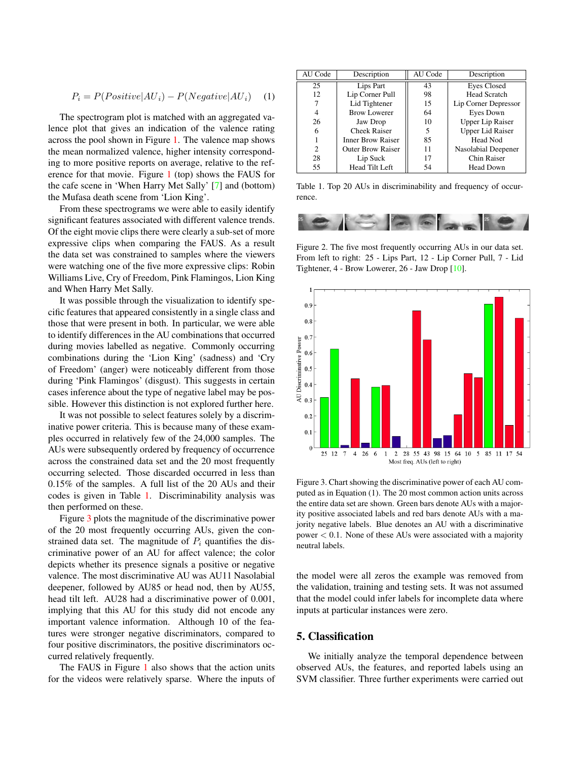<span id="page-3-2"></span>
$$
P_i = P(Positive | AU_i) - P(Negative | AU_i)
$$
 (1)

The spectrogram plot is matched with an aggregated valence plot that gives an indication of the valence rating across the pool shown in Figure [1.](#page-2-0) The valence map shows the mean normalized valence, higher intensity corresponding to more positive reports on average, relative to the reference for that movie. Figure [1](#page-2-0) (top) shows the FAUS for the cafe scene in 'When Harry Met Sally' [\[7\]](#page-7-16) and (bottom) the Mufasa death scene from 'Lion King'.

From these spectrograms we were able to easily identify significant features associated with different valence trends. Of the eight movie clips there were clearly a sub-set of more expressive clips when comparing the FAUS. As a result the data set was constrained to samples where the viewers were watching one of the five more expressive clips: Robin Williams Live, Cry of Freedom, Pink Flamingos, Lion King and When Harry Met Sally.

It was possible through the visualization to identify specific features that appeared consistently in a single class and those that were present in both. In particular, we were able to identify differences in the AU combinations that occurred during movies labelled as negative. Commonly occurring combinations during the 'Lion King' (sadness) and 'Cry of Freedom' (anger) were noticeably different from those during 'Pink Flamingos' (disgust). This suggests in certain cases inference about the type of negative label may be possible. However this distinction is not explored further here.

It was not possible to select features solely by a discriminative power criteria. This is because many of these examples occurred in relatively few of the 24,000 samples. The AUs were subsequently ordered by frequency of occurrence across the constrained data set and the 20 most frequently occurring selected. Those discarded occurred in less than 0.15% of the samples. A full list of the 20 AUs and their codes is given in Table [1.](#page-3-0) Discriminability analysis was then performed on these.

Figure [3](#page-3-1) plots the magnitude of the discriminative power of the 20 most frequently occurring AUs, given the constrained data set. The magnitude of  $P_i$  quantifies the discriminative power of an AU for affect valence; the color depicts whether its presence signals a positive or negative valence. The most discriminative AU was AU11 Nasolabial deepener, followed by AU85 or head nod, then by AU55, head tilt left. AU28 had a discriminative power of 0.001, implying that this AU for this study did not encode any important valence information. Although 10 of the features were stronger negative discriminators, compared to four positive discriminators, the positive discriminators occurred relatively frequently.

The FAUS in Figure [1](#page-2-0) also shows that the action units for the videos were relatively sparse. Where the inputs of

| AU Code        | Description              | AU Code | Description             |
|----------------|--------------------------|---------|-------------------------|
| 25             | Lips Part                | 43      | <b>Eyes Closed</b>      |
| 12             | Lip Corner Pull          | 98      | <b>Head Scratch</b>     |
|                | Lid Tightener            | 15      | Lip Corner Depressor    |
| 4              | <b>Brow Lowerer</b>      | 64      | Eyes Down               |
| 26             | Jaw Drop                 | 10      | <b>Upper Lip Raiser</b> |
| 6              | <b>Cheek Raiser</b>      | 5       | <b>Upper Lid Raiser</b> |
|                | <b>Inner Brow Raiser</b> | 85      | Head Nod                |
| $\overline{c}$ | <b>Outer Brow Raiser</b> | 11      | Nasolabial Deepener     |
| 28             | Lip Suck                 | 17      | Chin Raiser             |
| 55             | Head Tilt Left           | 54      | <b>Head Down</b>        |

<span id="page-3-0"></span>Table 1. Top 20 AUs in discriminability and frequency of occurrence.



Figure 2. The five most frequently occurring AUs in our data set. From left to right: 25 - Lips Part, 12 - Lip Corner Pull, 7 - Lid Tightener, 4 - Brow Lowerer, 26 - Jaw Drop [\[10\]](#page-7-18).



<span id="page-3-1"></span>Figure 3. Chart showing the discriminative power of each AU computed as in Equation (1). The 20 most common action units across the entire data set are shown. Green bars denote AUs with a majority positive associated labels and red bars denote AUs with a majority negative labels. Blue denotes an AU with a discriminative power *<* 0.1. None of these AUs were associated with a majority neutral labels.

the model were all zeros the example was removed from the validation, training and testing sets. It was not assumed that the model could infer labels for incomplete data where inputs at particular instances were zero.

### 5. Classification

We initially analyze the temporal dependence between observed AUs, the features, and reported labels using an SVM classifier. Three further experiments were carried out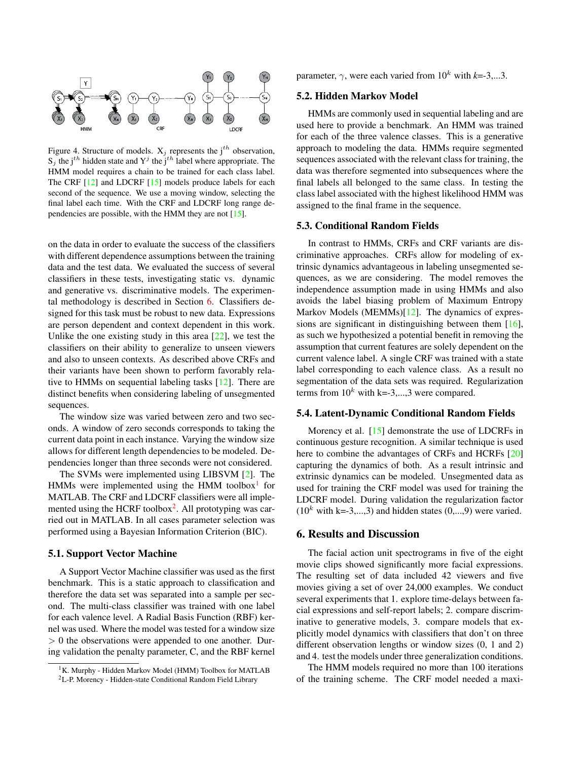<span id="page-4-3"></span>

Figure 4. Structure of models.  $X_j$  represents the j<sup>th</sup> observation,  $S_j$  the j<sup>th</sup> hidden state and  $Y^j$  the j<sup>th</sup> label where appropriate. The HMM model requires a chain to be trained for each class label. The CRF [\[12\]](#page-7-19) and LDCRF [\[15\]](#page-7-13) models produce labels for each second of the sequence. We use a moving window, selecting the final label each time. With the CRF and LDCRF long range dependencies are possible, with the HMM they are not [\[15\]](#page-7-13).

on the data in order to evaluate the success of the classifiers with different dependence assumptions between the training data and the test data. We evaluated the success of several classifiers in these tests, investigating static vs. dynamic and generative vs. discriminative models. The experimental methodology is described in Section [6.](#page-4-0) Classifiers designed for this task must be robust to new data. Expressions are person dependent and context dependent in this work. Unlike the one existing study in this area  $[22]$ , we test the classifiers on their ability to generalize to unseen viewers and also to unseen contexts. As described above CRFs and their variants have been shown to perform favorably relative to HMMs on sequential labeling tasks [\[12\]](#page-7-19). There are distinct benefits when considering labeling of unsegmented sequences.

The window size was varied between zero and two seconds. A window of zero seconds corresponds to taking the current data point in each instance. Varying the window size allows for different length dependencies to be modeled. Dependencies longer than three seconds were not considered.

The SVMs were implemented using LIBSVM [\[2\]](#page-7-20). The HMMs were implemented using the HMM toolbox<sup>1</sup> for MATLAB. The CRF and LDCRF classifiers were all implemented using the HCRF toolbox<sup>2</sup>. All prototyping was carried out in MATLAB. In all cases parameter selection was performed using a Bayesian Information Criterion (BIC).

#### 5.1. Support Vector Machine

A Support Vector Machine classifier was used as the first benchmark. This is a static approach to classification and therefore the data set was separated into a sample per second. The multi-class classifier was trained with one label for each valence level. A Radial Basis Function (RBF) kernel was used. Where the model was tested for a window size  $> 0$  the observations were appended to one another. During validation the penalty parameter, C, and the RBF kernel parameter,  $\gamma$ , were each varied from  $10^k$  with  $k=3,...3$ .

#### 5.2. Hidden Markov Model

HMMs are commonly used in sequential labeling and are used here to provide a benchmark. An HMM was trained for each of the three valence classes. This is a generative approach to modeling the data. HMMs require segmented sequences associated with the relevant class for training, the data was therefore segmented into subsequences where the final labels all belonged to the same class. In testing the class label associated with the highest likelihood HMM was assigned to the final frame in the sequence.

#### 5.3. Conditional Random Fields

In contrast to HMMs, CRFs and CRF variants are discriminative approaches. CRFs allow for modeling of extrinsic dynamics advantageous in labeling unsegmented sequences, as we are considering. The model removes the independence assumption made in using HMMs and also avoids the label biasing problem of Maximum Entropy Markov Models (MEMMs)[\[12\]](#page-7-19). The dynamics of expressions are significant in distinguishing between them [\[16\]](#page-7-10), as such we hypothesized a potential benefit in removing the assumption that current features are solely dependent on the current valence label. A single CRF was trained with a state label corresponding to each valence class. As a result no segmentation of the data sets was required. Regularization terms from  $10^k$  with k=-3,...,3 were compared.

#### 5.4. Latent-Dynamic Conditional Random Fields

Morency et al. [\[15\]](#page-7-13) demonstrate the use of LDCRFs in continuous gesture recognition. A similar technique is used here to combine the advantages of CRFs and HCRFs [\[20\]](#page-7-14) capturing the dynamics of both. As a result intrinsic and extrinsic dynamics can be modeled. Unsegmented data as used for training the CRF model was used for training the LDCRF model. During validation the regularization factor  $(10<sup>k</sup>$  with k=-3,...,3) and hidden states  $(0, \ldots, 9)$  were varied.

#### <span id="page-4-0"></span>6. Results and Discussion

The facial action unit spectrograms in five of the eight movie clips showed significantly more facial expressions. The resulting set of data included 42 viewers and five movies giving a set of over 24,000 examples. We conduct several experiments that 1. explore time-delays between facial expressions and self-report labels; 2. compare discriminative to generative models, 3. compare models that explicitly model dynamics with classifiers that don't on three different observation lengths or window sizes (0, 1 and 2) and 4. test the models under three generalization conditions.

The HMM models required no more than 100 iterations of the training scheme. The CRF model needed a maxi-

<span id="page-4-1"></span><sup>&</sup>lt;sup>1</sup>K. Murphy - Hidden Markov Model (HMM) Toolbox for MATLAB

<span id="page-4-2"></span><sup>&</sup>lt;sup>2</sup>L-P. Morency - Hidden-state Conditional Random Field Library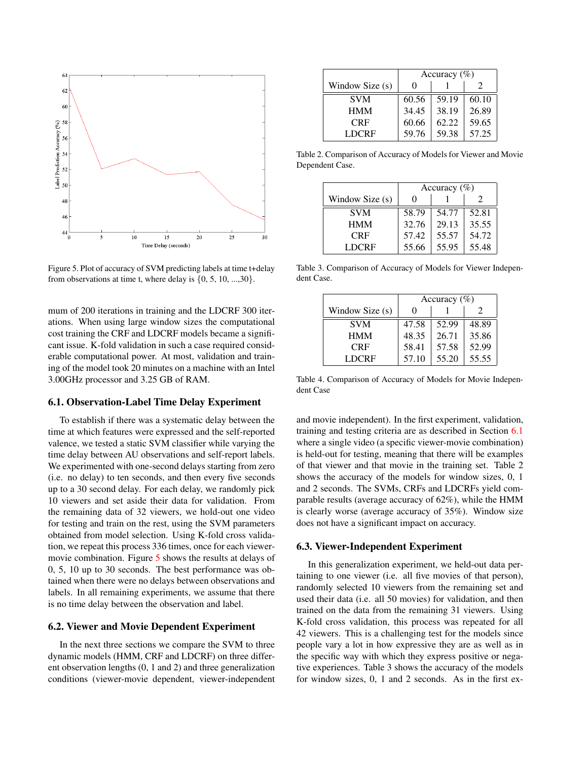

<span id="page-5-0"></span>Figure 5. Plot of accuracy of SVM predicting labels at time t+delay from observations at time t, where delay is *{*0, 5, 10, ...,30*}*.

mum of 200 iterations in training and the LDCRF 300 iterations. When using large window sizes the computational cost training the CRF and LDCRF models became a significant issue. K-fold validation in such a case required considerable computational power. At most, validation and training of the model took 20 minutes on a machine with an Intel 3.00GHz processor and 3.25 GB of RAM.

#### <span id="page-5-1"></span>6.1. Observation-Label Time Delay Experiment

To establish if there was a systematic delay between the time at which features were expressed and the self-reported valence, we tested a static SVM classifier while varying the time delay between AU observations and self-report labels. We experimented with one-second delays starting from zero (i.e. no delay) to ten seconds, and then every five seconds up to a 30 second delay. For each delay, we randomly pick 10 viewers and set aside their data for validation. From the remaining data of 32 viewers, we hold-out one video for testing and train on the rest, using the SVM parameters obtained from model selection. Using K-fold cross validation, we repeat this process 336 times, once for each viewermovie combination. Figure [5](#page-5-0) shows the results at delays of 0, 5, 10 up to 30 seconds. The best performance was obtained when there were no delays between observations and labels. In all remaining experiments, we assume that there is no time delay between the observation and label.

#### 6.2. Viewer and Movie Dependent Experiment

In the next three sections we compare the SVM to three dynamic models (HMM, CRF and LDCRF) on three different observation lengths (0, 1 and 2) and three generalization conditions (viewer-movie dependent, viewer-independent

|                 | Accuracy $(\% )$ |       |       |
|-----------------|------------------|-------|-------|
| Window Size (s) |                  |       |       |
| <b>SVM</b>      | 60.56            | 59.19 | 60.10 |
| <b>HMM</b>      | 34.45            | 38.19 | 26.89 |
| <b>CRF</b>      | 60.66            | 62.22 | 59.65 |
| <b>LDCRF</b>    | 59.76            | 59.38 | 57.25 |

Table 2. Comparison of Accuracy of Models for Viewer and Movie Dependent Case.

|                 | Accuracy $(\% )$  |       |       |
|-----------------|-------------------|-------|-------|
| Window Size (s) | $\mathbf{\Omega}$ |       | 2     |
| <b>SVM</b>      | 58.79             | 54.77 | 52.81 |
| <b>HMM</b>      | 32.76             | 29.13 | 35.55 |
| <b>CRF</b>      | 57.42             | 55.57 | 54.72 |
| <b>LDCRF</b>    | 55.66             | 55.95 | 55.48 |

Table 3. Comparison of Accuracy of Models for Viewer Independent Case.

|                 | Accuracy $(\%)$ |       |       |
|-----------------|-----------------|-------|-------|
| Window Size (s) |                 |       |       |
| <b>SVM</b>      | 47.58           | 52.99 | 48.89 |
| <b>HMM</b>      | 48.35           | 26.71 | 35.86 |
| <b>CRF</b>      | 58.41           | 57.58 | 52.99 |
| <b>LDCRF</b>    | 57.10           | 55.20 | 55.55 |

Table 4. Comparison of Accuracy of Models for Movie Independent Case

and movie independent). In the first experiment, validation, training and testing criteria are as described in Section [6.1](#page-5-1) where a single video (a specific viewer-movie combination) is held-out for testing, meaning that there will be examples of that viewer and that movie in the training set. Table 2 shows the accuracy of the models for window sizes, 0, 1 and 2 seconds. The SVMs, CRFs and LDCRFs yield comparable results (average accuracy of 62%), while the HMM is clearly worse (average accuracy of 35%). Window size does not have a significant impact on accuracy.

#### 6.3. Viewer-Independent Experiment

In this generalization experiment, we held-out data pertaining to one viewer (i.e. all five movies of that person), randomly selected 10 viewers from the remaining set and used their data (i.e. all 50 movies) for validation, and then trained on the data from the remaining 31 viewers. Using K-fold cross validation, this process was repeated for all 42 viewers. This is a challenging test for the models since people vary a lot in how expressive they are as well as in the specific way with which they express positive or negative experiences. Table 3 shows the accuracy of the models for window sizes, 0, 1 and 2 seconds. As in the first ex-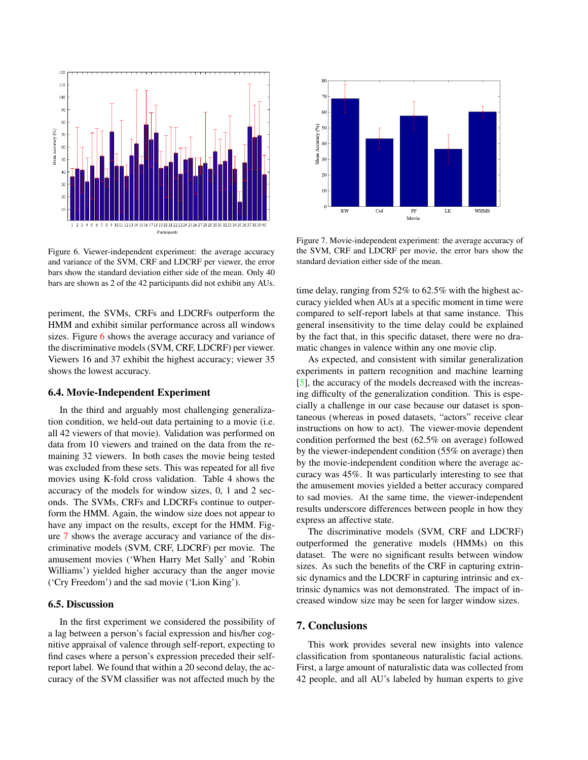<span id="page-6-2"></span>

<span id="page-6-0"></span>Figure 6. Viewer-independent experiment: the average accuracy and variance of the SVM, CRF and LDCRF per viewer, the error bars show the standard deviation either side of the mean. Only 40 bars are shown as 2 of the 42 participants did not exhibit any AUs.

periment, the SVMs, CRFs and LDCRFs outperform the HMM and exhibit similar performance across all windows sizes. Figure [6](#page-6-0) shows the average accuracy and variance of the discriminative models (SVM, CRF, LDCRF) per viewer. Viewers 16 and 37 exhibit the highest accuracy; viewer 35 shows the lowest accuracy.

#### 6.4. Movie-Independent Experiment

In the third and arguably most challenging generalization condition, we held-out data pertaining to a movie (i.e. all 42 viewers of that movie). Validation was performed on data from 10 viewers and trained on the data from the remaining 32 viewers. In both cases the movie being tested was excluded from these sets. This was repeated for all five movies using K-fold cross validation. Table 4 shows the accuracy of the models for window sizes, 0, 1 and 2 seconds. The SVMs, CRFs and LDCRFs continue to outperform the HMM. Again, the window size does not appear to have any impact on the results, except for the HMM. Figure [7](#page-6-1) shows the average accuracy and variance of the discriminative models (SVM, CRF, LDCRF) per movie. The amusement movies ('When Harry Met Sally' and 'Robin Williams') yielded higher accuracy than the anger movie ('Cry Freedom') and the sad movie ('Lion King').

#### 6.5. Discussion

In the first experiment we considered the possibility of a lag between a person's facial expression and his/her cognitive appraisal of valence through self-report, expecting to find cases where a person's expression preceded their selfreport label. We found that within a 20 second delay, the accuracy of the SVM classifier was not affected much by the



<span id="page-6-1"></span>Figure 7. Movie-independent experiment: the average accuracy of the SVM, CRF and LDCRF per movie, the error bars show the standard deviation either side of the mean.

time delay, ranging from 52% to 62.5% with the highest accuracy yielded when AUs at a specific moment in time were compared to self-report labels at that same instance. This general insensitivity to the time delay could be explained by the fact that, in this specific dataset, there were no dramatic changes in valence within any one movie clip.

As expected, and consistent with similar generalization experiments in pattern recognition and machine learning [\[5\]](#page-7-21), the accuracy of the models decreased with the increasing difficulty of the generalization condition. This is especially a challenge in our case because our dataset is spontaneous (whereas in posed datasets, "actors" receive clear instructions on how to act). The viewer-movie dependent condition performed the best (62.5% on average) followed by the viewer-independent condition (55% on average) then by the movie-independent condition where the average accuracy was 45%. It was particularly interesting to see that the amusement movies yielded a better accuracy compared to sad movies. At the same time, the viewer-independent results underscore differences between people in how they express an affective state.

The discriminative models (SVM, CRF and LDCRF) outperformed the generative models (HMMs) on this dataset. The were no significant results between window sizes. As such the benefits of the CRF in capturing extrinsic dynamics and the LDCRF in capturing intrinsic and extrinsic dynamics was not demonstrated. The impact of increased window size may be seen for larger window sizes.

#### 7. Conclusions

This work provides several new insights into valence classification from spontaneous naturalistic facial actions. First, a large amount of naturalistic data was collected from 42 people, and all AU's labeled by human experts to give